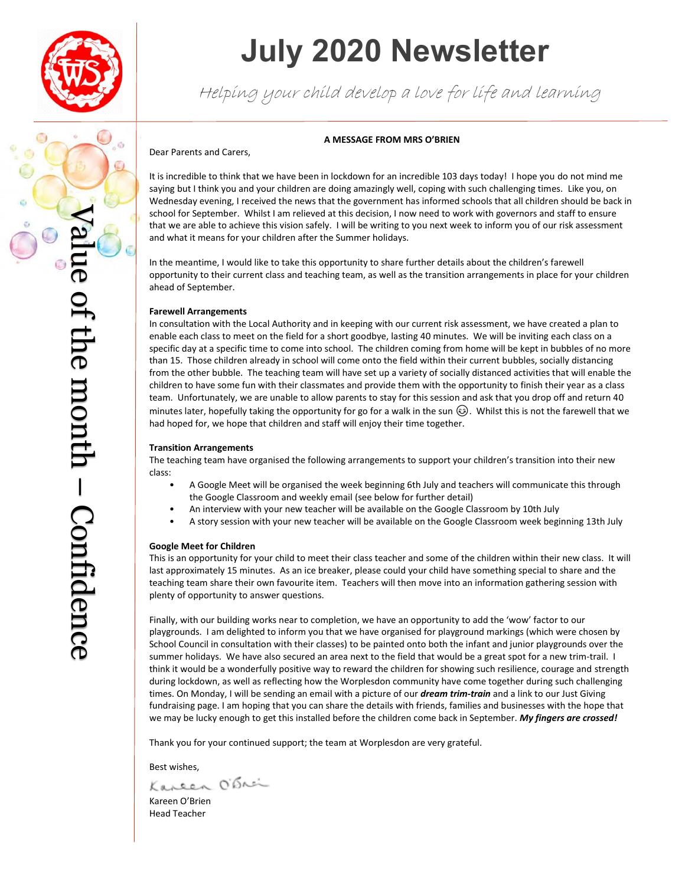

Ø Ø

# **July 2020 Newsletter**

Helping your child develop a love for life and learning

#### **A MESSAGE FROM MRS O'BRIEN**

Dear Parents and Carers,

It is incredible to think that we have been in lockdown for an incredible 103 days today! I hope you do not mind me saying but I think you and your children are doing amazingly well, coping with such challenging times. Like you, on Wednesday evening, I received the news that the government has informed schools that all children should be back in school for September. Whilst I am relieved at this decision, I now need to work with governors and staff to ensure that we are able to achieve this vision safely. I will be writing to you next week to inform you of our risk assessment and what it means for your children after the Summer holidays.

In the meantime, I would like to take this opportunity to share further details about the children's farewell opportunity to their current class and teaching team, as well as the transition arrangements in place for your children ahead of September.

#### **Farewell Arrangements**

In consultation with the Local Authority and in keeping with our current risk assessment, we have created a plan to enable each class to meet on the field for a short goodbye, lasting 40 minutes. We will be inviting each class on a specific day at a specific time to come into school. The children coming from home will be kept in bubbles of no more than 15. Those children already in school will come onto the field within their current bubbles, socially distancing from the other bubble. The teaching team will have set up a variety of socially distanced activities that will enable the children to have some fun with their classmates and provide them with the opportunity to finish their year as a class team. Unfortunately, we are unable to allow parents to stay for this session and ask that you drop off and return 40 minutes later, hopefully taking the opportunity for go for a walk in the sun  $\bigcirc$ . Whilst this is not the farewell that we had hoped for, we hope that children and staff will enjoy their time together.

#### **Transition Arrangements**

The teaching team have organised the following arrangements to support your children's transition into their new class:

- A Google Meet will be organised the week beginning 6th July and teachers will communicate this through the Google Classroom and weekly email (see below for further detail)
- An interview with your new teacher will be available on the Google Classroom by 10th July
- A story session with your new teacher will be available on the Google Classroom week beginning 13th July

#### **Google Meet for Children**

This is an opportunity for your child to meet their class teacher and some of the children within their new class. It will last approximately 15 minutes. As an ice breaker, please could your child have something special to share and the teaching team share their own favourite item. Teachers will then move into an information gathering session with plenty of opportunity to answer questions.

Finally, with our building works near to completion, we have an opportunity to add the 'wow' factor to our playgrounds. I am delighted to inform you that we have organised for playground markings (which were chosen by School Council in consultation with their classes) to be painted onto both the infant and junior playgrounds over the summer holidays. We have also secured an area next to the field that would be a great spot for a new trim-trail. I think it would be a wonderfully positive way to reward the children for showing such resilience, courage and strength during lockdown, as well as reflecting how the Worplesdon community have come together during such challenging times. On Monday, I will be sending an email with a picture of our *dream trim-train* and a link to our Just Giving fundraising page. I am hoping that you can share the details with friends, families and businesses with the hope that we may be lucky enough to get this installed before the children come back in September. *My fingers are crossed!*

Thank you for your continued support; the team at Worplesdon are very grateful.

Best wishes,<br>Kaneen O'Snei

Kareen O'Brien Head Teacher